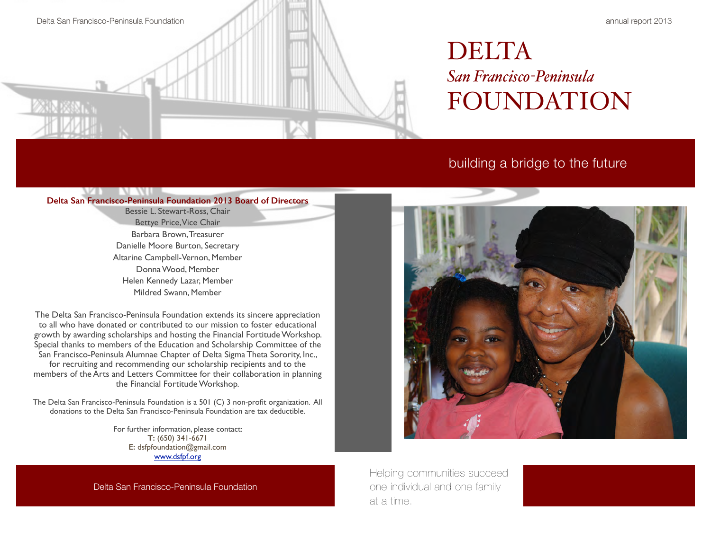

# DELTA *San Francisco-Peninsula*  FOUNDATION

### building a bridge to the future

#### **Delta San Francisco-Peninsula Foundation 2013 Board of Directors**

Bessie L. Stewart-Ross, Chair Bettye Price, Vice Chair Barbara Brown, Treasurer Danielle Moore Burton, Secretary Altarine Campbell-Vernon, Member Donna Wood, Member Helen Kennedy Lazar, Member Mildred Swann, Member

The Delta San Francisco-Peninsula Foundation extends its sincere appreciation to all who have donated or contributed to our mission to foster educational growth by awarding scholarships and hosting the Financial Fortitude Workshop. Special thanks to members of the Education and Scholarship Committee of the San Francisco-Peninsula Alumnae Chapter of Delta Sigma Theta Sorority, Inc., for recruiting and recommending our scholarship recipients and to the members of the Arts and Letters Committee for their collaboration in planning the Financial Fortitude Workshop.

The Delta San Francisco-Peninsula Foundation is a 501 (C) 3 non-profit organization. All donations to the Delta San Francisco-Peninsula Foundation are tax deductible.

> For further information, please contact: **T:** (650) 341-6671 **E:** dsfpfoundation@gmail.com [www.dsfpf.org](http://www.dsfpf.org)

Delta San Francisco-Peninsula Foundation



Helping communities succeed one individual and one family at a time.

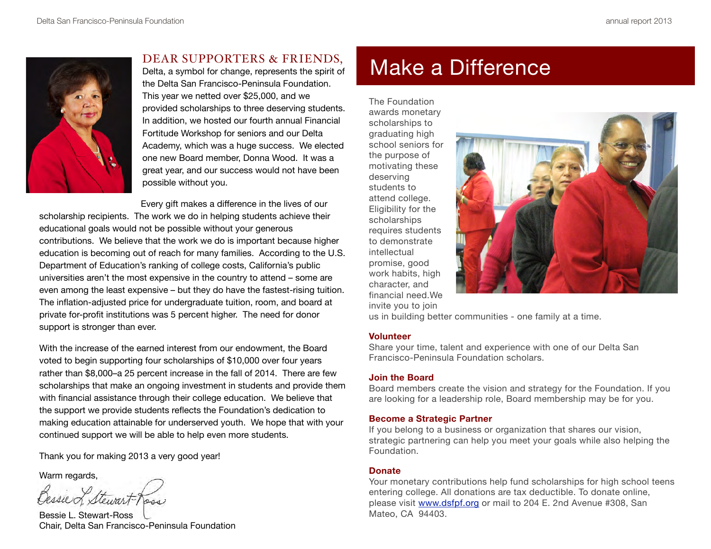

### DEAR SUPPORTERS & FRIENDS,

Delta, a symbol for change, represents the spirit of the Delta San Francisco-Peninsula Foundation. This year we netted over \$25,000, and we provided scholarships to three deserving students. In addition, we hosted our fourth annual Financial Fortitude Workshop for seniors and our Delta Academy, which was a huge success. We elected one new Board member, Donna Wood. It was a great year, and our success would not have been possible without you.

Every gift makes a difference in the lives of our

scholarship recipients. The work we do in helping students achieve their educational goals would not be possible without your generous contributions. We believe that the work we do is important because higher education is becoming out of reach for many families. According to the U.S. Department of Education's ranking of college costs, California's public universities aren't the most expensive in the country to attend – some are even among the least expensive – but they do have the fastest-rising tuition. The inflation-adjusted price for undergraduate tuition, room, and board at private for-profit institutions was 5 percent higher. The need for donor support is stronger than ever.

With the increase of the earned interest from our endowment, the Board voted to begin supporting four scholarships of \$10,000 over four years rather than \$8,000–a 25 percent increase in the fall of 2014. There are few scholarships that make an ongoing investment in students and provide them with financial assistance through their college education. We believe that the support we provide students reflects the Foundation's dedication to making education attainable for underserved youth. We hope that with your continued support we will be able to help even more students.

Thank you for making 2013 a very good year!

Warm regards,

Bessie L. Stewart-Ross Chair, Delta San Francisco-Peninsula Foundation

## Make a Difference

The Foundation awards monetary scholarships to graduating high school seniors for the purpose of motivating these deserving students to attend college. Eligibility for the scholarships requires students to demonstrate intellectual promise, good work habits, high character, and financial need.We invite you to join



us in building better communities - one family at a time.

#### **Volunteer**

Share your time, talent and experience with one of our Delta San Francisco-Peninsula Foundation scholars.

#### **Join the Board**

Board members create the vision and strategy for the Foundation. If you are looking for a leadership role, Board membership may be for you.

#### **Become a Strategic Partner**

If you belong to a business or organization that shares our vision, strategic partnering can help you meet your goals while also helping the Foundation.

#### **Donate**

Your monetary contributions help fund scholarships for high school teens entering college. All donations are tax deductible. To donate online, please visit [www.dsfpf.org](http://www.dsfpf.org) or mail to 204 E. 2nd Avenue #308, San Mateo, CA 94403.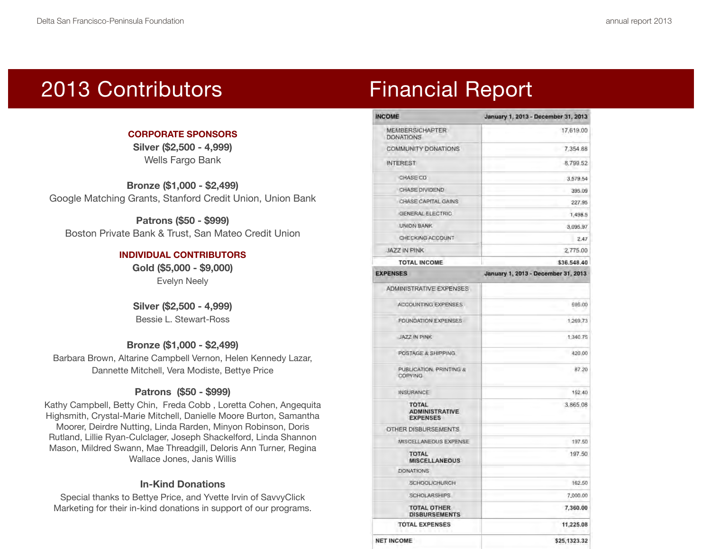### 2013 Contributors **Financial Report**

#### **CORPORATE SPONSORS**

**Silver (\$2,500 - 4,999)**  Wells Fargo Bank

**Bronze (\$1,000 - \$2,499)**  Google Matching Grants, Stanford Credit Union, Union Bank

**Patrons (\$50 - \$999)**  Boston Private Bank & Trust, San Mateo Credit Union

#### **INDIVIDUAL CONTRIBUTORS**

**Gold (\$5,000 - \$9,000)**  Evelyn Neely

**Silver (\$2,500 - 4,999)**  Bessie L. Stewart-Ross

**Bronze (\$1,000 - \$2,499)**  Barbara Brown, Altarine Campbell Vernon, Helen Kennedy Lazar, Dannette Mitchell, Vera Modiste, Bettye Price

#### **Patrons (\$50 - \$999)**

Kathy Campbell, Betty Chin, Freda Cobb , Loretta Cohen, Angequita Highsmith, Crystal-Marie Mitchell, Danielle Moore Burton, Samantha Moorer, Deirdre Nutting, Linda Rarden, Minyon Robinson, Doris Rutland, Lillie Ryan-Culclager, Joseph Shackelford, Linda Shannon Mason, Mildred Swann, Mae Threadgill, Deloris Ann Turner, Regina Wallace Jones, Janis Willis

#### **In-Kind Donations**

Special thanks to Bettye Price, and Yvette Irvin of SavvyClick Marketing for their in-kind donations in support of our programs.

| <b>INCOME</b>                                            | January 1, 2013 - December 31, 2013 |
|----------------------------------------------------------|-------------------------------------|
| MEMBERS/CHAPTER<br><b>DONATIONS</b>                      | 17,619.00                           |
| <b>COMMUNITY DONATIONS</b>                               | 7.354.88                            |
| <b>INTEREST</b>                                          | 8.799.52                            |
| CHASE CD                                                 | 3,579.54                            |
| CHASE DIVIDEND                                           | 395.09                              |
| CHASE CAPITAL GAINS                                      | 227.95                              |
| GENERAL ELECTRIC                                         | 1,498.5                             |
| <b>UNION BANK</b>                                        | 3.095.97                            |
| CHECKING ACCOUNT                                         | 2.47                                |
| JAZZ IN PINK                                             | 2,775.00                            |
| <b>TOTAL INCOME</b>                                      | \$36,548.40                         |
| <b>EXPENSES</b>                                          | January 1, 2013 - December 31, 2013 |
| ADMINISTRATIVE EXPENSES                                  |                                     |
| ACCOUNTING EXPENSES                                      | 595.00                              |
| FOUNDATION EXPENSES                                      | 1,269,73                            |
| JAZZ IN PINK                                             | 1:340.75                            |
| POSTAGE & SHIPPING                                       | 420.00                              |
| PUBLICATION PRINTING &<br>COPYING                        | B7.20                               |
| <b>INSURANCE</b>                                         | 152.40                              |
| <b>TOTAL</b><br><b>ADMINISTRATIVE</b><br><b>EXPENSES</b> | 3.865.08                            |
| OTHER DISBURSEMENTS                                      |                                     |
| MISCELLANEOUS EXPENSE                                    | 197.50                              |
| <b>TOTAL</b><br><b>MISCELLANEOUS</b>                     | 197.50                              |
| <b>DONATIONS</b>                                         |                                     |
| SCHOOL/CHURCH                                            | 162.50                              |
| SCHOLARSHIPS                                             | 7,000.00                            |
| <b>TOTAL OTHER</b><br><b>DISBURSEMENTS</b>               | 7,360.00                            |
| <b>TOTAL EXPENSES</b>                                    | 11,225.08                           |
| <b>NET INCOME</b>                                        | \$25,1323.32                        |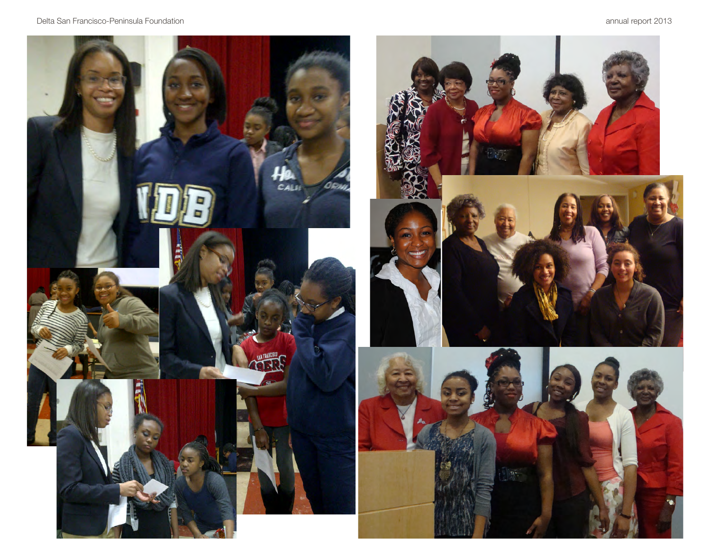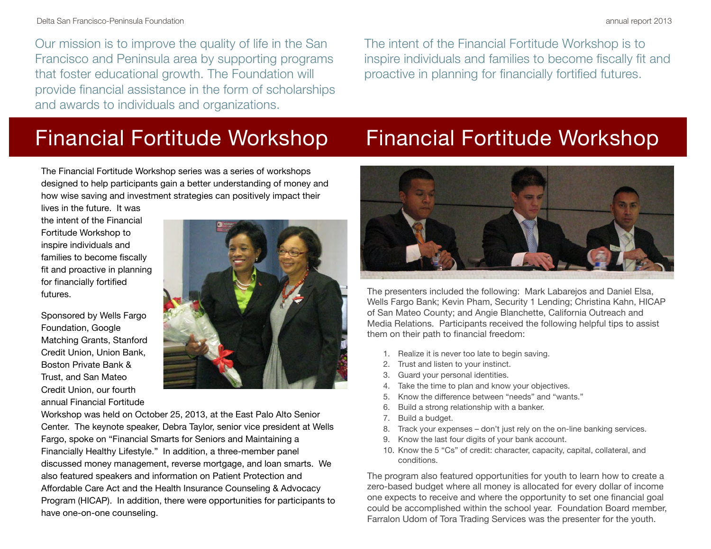Our mission is to improve the quality of life in the San Francisco and Peninsula area by supporting programs that foster educational growth. The Foundation will provide financial assistance in the form of scholarships and awards to individuals and organizations.

### Financial Fortitude Workshop

The Financial Fortitude Workshop series was a series of workshops designed to help participants gain a better understanding of money and how wise saving and investment strategies can positively impact their

lives in the future. It was the intent of the Financial Fortitude Workshop to inspire individuals and families to become fiscally fit and proactive in planning for financially fortified futures.

Sponsored by Wells Fargo Foundation, Google Matching Grants, Stanford Credit Union, Union Bank, Boston Private Bank & Trust, and San Mateo Credit Union, our fourth annual Financial Fortitude



Workshop was held on October 25, 2013, at the East Palo Alto Senior Center. The keynote speaker, Debra Taylor, senior vice president at Wells Fargo, spoke on "Financial Smarts for Seniors and Maintaining a Financially Healthy Lifestyle." In addition, a three-member panel discussed money management, reverse mortgage, and loan smarts. We also featured speakers and information on Patient Protection and Affordable Care Act and the Health Insurance Counseling & Advocacy Program (HICAP). In addition, there were opportunities for participants to have one-on-one counseling.

The intent of the Financial Fortitude Workshop is to inspire individuals and families to become fiscally fit and proactive in planning for financially fortified futures.

# Financial Fortitude Workshop



The presenters included the following: Mark Labarejos and Daniel Elsa, Wells Fargo Bank; Kevin Pham, Security 1 Lending; Christina Kahn, HICAP of San Mateo County; and Angie Blanchette, California Outreach and Media Relations. Participants received the following helpful tips to assist them on their path to financial freedom:

- 1. Realize it is never too late to begin saving.
- 2. Trust and listen to your instinct.
- 3. Guard your personal identities.
- 4. Take the time to plan and know your objectives.
- 5. Know the difference between "needs" and "wants."
- 6. Build a strong relationship with a banker.
- 7. Build a budget.
- 8. Track your expenses don't just rely on the on-line banking services.
- 9. Know the last four digits of your bank account.
- 10. Know the 5 "Cs" of credit: character, capacity, capital, collateral, and conditions.

The program also featured opportunities for youth to learn how to create a zero-based budget where all money is allocated for every dollar of income one expects to receive and where the opportunity to set one financial goal could be accomplished within the school year. Foundation Board member, Farralon Udom of Tora Trading Services was the presenter for the youth.